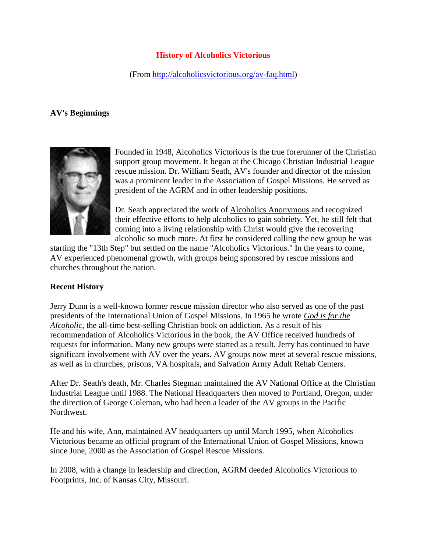## **History of Alcoholics Victorious**

(From [http://alcoholicsvictorious.org/av-faq.html\)](http://alcoholicsvictorious.org/av-faq.html)

## **AV's Beginnings**



Founded in 1948, Alcoholics Victorious is the true forerunner of the Christian support group movement. It began at the Chicago Christian Industrial League rescue mission. Dr. William Seath, AV's founder and director of the mission was a prominent leader in the [Association of Gospel Missions.](http://alcoholicsvictorious.org/agrm.org) He served as president of the AGRM and in other leadership positions.

Dr. Seath appreciated the work of [Alcoholics Anonymous](http://www.alcoholics-anonymous.org/) and recognized their effective efforts to help alcoholics to gain sobriety. Yet, he still felt that coming into a living relationship with Christ would give the recovering alcoholic so much more. At first he considered calling the new group he was

starting the "13th Step" but settled on the name "Alcoholics Victorious." In the years to come, AV experienced phenomenal growth, with groups being sponsored by rescue missions and churches throughout the nation.

## **Recent History**

Jerry Dunn is a well-known former rescue mission director who also served as one of the past presidents of the International Union of Gospel Missions. In 1965 he wrote *[God is for the](http://www.christianbook.com/Christian/Books/product?event=AFF&p=1015079&item_no=2432840)  [Alcoholic](http://www.christianbook.com/Christian/Books/product?event=AFF&p=1015079&item_no=2432840)*, the all-time best-selling Christian book on addiction. As a result of his recommendation of Alcoholics Victorious in the book, the AV Office received hundreds of requests for information. Many new groups were started as a result. Jerry has continued to have significant involvement with AV over the years. AV groups now meet at several rescue missions, as well as in churches, prisons, VA hospitals, and Salvation Army Adult Rehab Centers.

After Dr. Seath's death, Mr. Charles Stegman maintained the AV National Office at the Christian Industrial League until 1988. The National Headquarters then moved to Portland, Oregon, under the direction of George Coleman, who had been a leader of the AV groups in the Pacific Northwest.

He and his wife, Ann, maintained AV headquarters up until March 1995, when Alcoholics Victorious became an official program of the International Union of Gospel Missions, known since June, 2000 as the [Association of Gospel Rescue Missions.](http://agrm.org/)

In 2008, with a change in leadership and direction, AGRM deeded Alcoholics Victorious to [Footprints, Inc.](http://www.kcfootprints.org/) of Kansas City, Missouri.